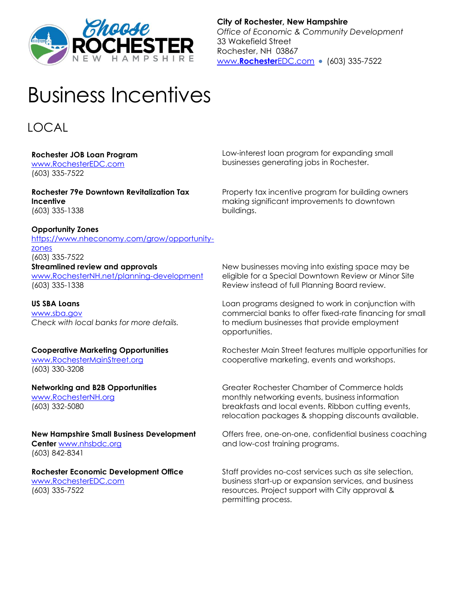

**City of Rochester, New Hampshire** *Office of Economic & Community Development* 33 Wakefield Street Rochester, NH 03867 www.[Rochester](http://www.rochesteredc.com/)EDC.com • (603) 335-7522

# Business Incentives

# LOCAL

# **Rochester JOB Loan Program**

[www.RochesterEDC.com](http://www.thinkrochester.biz/) (603) 335-7522

**Rochester 79e Downtown Revitalization Tax Incentive** (603) 335-1338

#### **Opportunity Zones**

[https://www.nheconomy.com/grow/opportunity](https://www.nheconomy.com/grow/opportunity-zones)[zones](https://www.nheconomy.com/grow/opportunity-zones) (603) 335-7522

#### **Streamlined review and approvals**

[www.RochesterNH.net/](http://www.rochesternh.net/)planning-development (603) 335-1338

# **US SBA Loans**

[www.sba.gov](http://www.sba.gov/) *Check with local banks for more details.*

# **Cooperative Marketing Opportunities**

[www.RochesterMainStreet.org](http://www.rochestermainstreet.org/) (603) 330-3208

**Networking and B2B Opportunities** [www.RochesterNH.org](http://www.rochesternh.org/)

(603) 332-5080

# **New Hampshire Small Business Development Center** [www.nhsbdc.org](http://www.nhsbdc.org/)

(603) 842-8341

#### **Rochester Economic Development Office** [www.RochesterEDC.com](http://www.thinkrochester.biz/)

(603) 335-7522

Low-interest loan program for expanding small businesses generating jobs in Rochester.

Property tax incentive program for building owners making significant improvements to downtown buildings.

New businesses moving into existing space may be eligible for a Special Downtown Review or Minor Site Review instead of full Planning Board review.

Loan programs designed to work in conjunction with commercial banks to offer fixed-rate financing for small to medium businesses that provide employment opportunities.

Rochester Main Street features multiple opportunities for cooperative marketing, events and workshops.

Greater Rochester Chamber of Commerce holds monthly networking events, business information breakfasts and local events. Ribbon cutting events, relocation packages & shopping discounts available.

Offers free, one-on-one, confidential business coaching and low-cost training programs.

Staff provides no-cost services such as site selection, business start-up or expansion services, and business resources. Project support with City approval & permitting process.